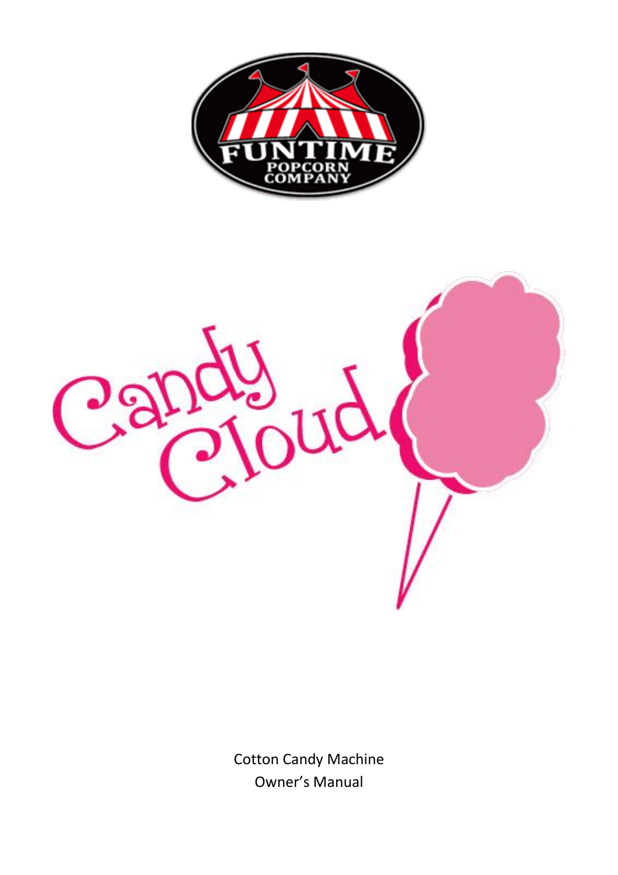



Cotton Candy Machine Owner's Manual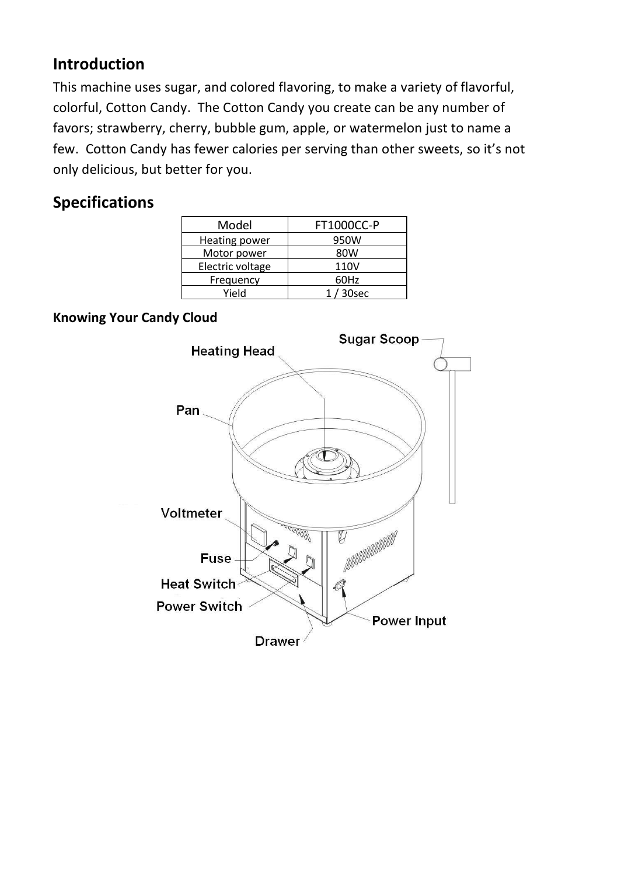#### **Introduction**

This machine uses sugar, and colored flavoring, to make a variety of flavorful, colorful, Cotton Candy. The Cotton Candy you create can be any number of favors; strawberry, cherry, bubble gum, apple, or watermelon just to name a few. Cotton Candy has fewer calories per serving than other sweets, so it's not only delicious, but better for you.

### **Specifications**

| <b>FT1000CC-P</b> |  |
|-------------------|--|
| 950W              |  |
| 80W               |  |
| 110V              |  |
| 60Hz              |  |
| $1/30$ sec        |  |
|                   |  |

#### **Knowing Your Candy Cloud**

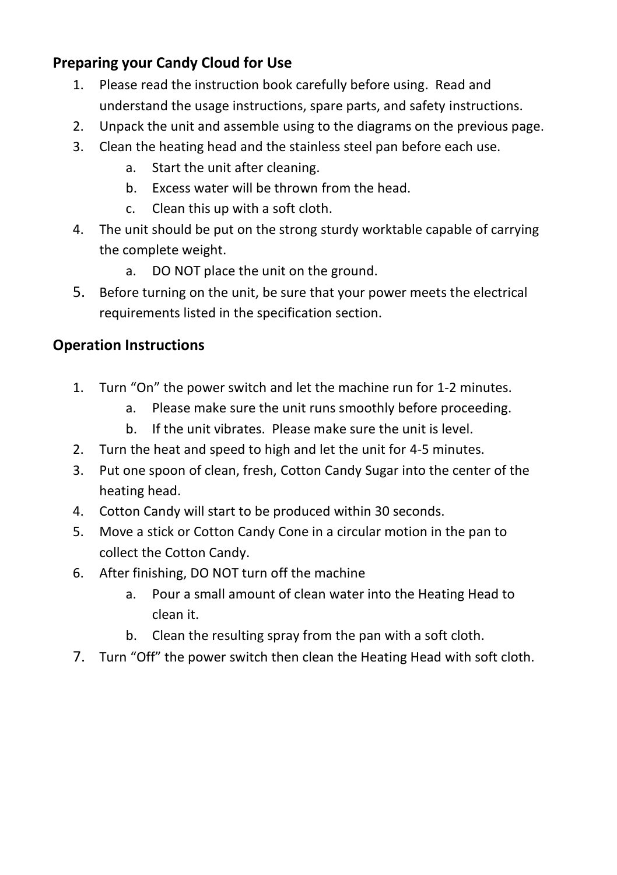#### **Preparing your Candy Cloud for Use**

- 1. Please read the instruction book carefully before using. Read and understand the usage instructions, spare parts, and safety instructions.
- 2. Unpack the unit and assemble using to the diagrams on the previous page.
- 3. Clean the heating head and the stainless steel pan before each use.
	- a. Start the unit after cleaning.
	- b. Excess water will be thrown from the head.
	- c. Clean this up with a soft cloth.
- 4. The unit should be put on the strong sturdy worktable capable of carrying the complete weight.
	- a. DO NOT place the unit on the ground.
- 5. Before turning on the unit, be sure that your power meets the electrical requirements listed in the specification section.

#### **Operation Instructions**

- 1. Turn "On" the power switch and let the machine run for 1-2 minutes.
	- a. Please make sure the unit runs smoothly before proceeding.
	- b. If the unit vibrates. Please make sure the unit is level.
- 2. Turn the heat and speed to high and let the unit for 4-5 minutes.
- 3. Put one spoon of clean, fresh, Cotton Candy Sugar into the center of the heating head.
- 4. Cotton Candy will start to be produced within 30 seconds.
- 5. Move a stick or Cotton Candy Cone in a circular motion in the pan to collect the Cotton Candy.
- 6. After finishing, DO NOT turn off the machine
	- a. Pour a small amount of clean water into the Heating Head to clean it.
	- b. Clean the resulting spray from the pan with a soft cloth.
- 7. Turn "Off" the power switch then clean the Heating Head with soft cloth.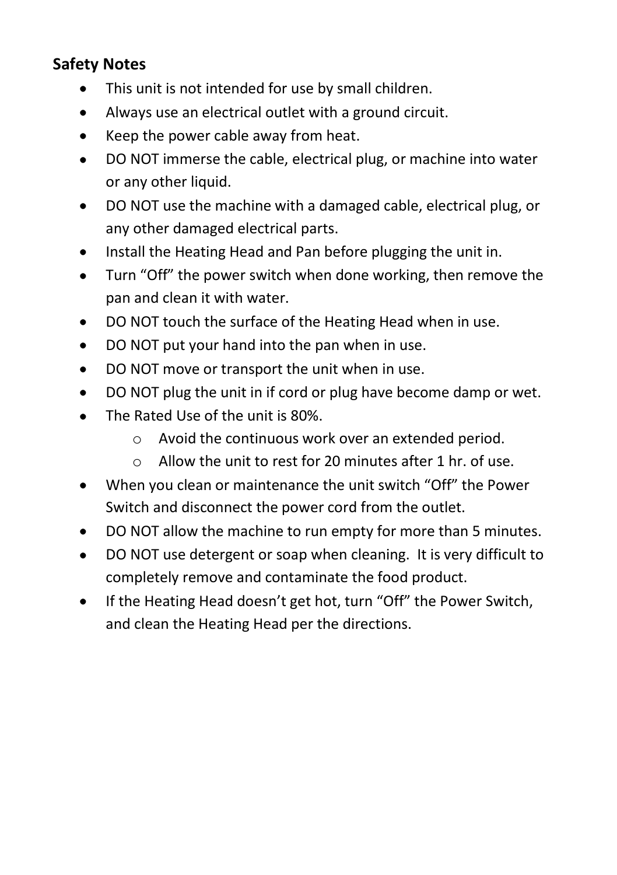## **Safety Notes**

- This unit is not intended for use by small children.
- Always use an electrical outlet with a ground circuit.  $\bullet$
- Keep the power cable away from heat.  $\bullet$
- DO NOT immerse the cable, electrical plug, or machine into water  $\bullet$ or any other liquid.
- DO NOT use the machine with a damaged cable, electrical plug, or  $\bullet$ any other damaged electrical parts.
- Install the Heating Head and Pan before plugging the unit in.  $\bullet$
- Turn "Off" the power switch when done working, then remove the  $\bullet$ pan and clean it with water.
- $\bullet$ DO NOT touch the surface of the Heating Head when in use.
- DO NOT put your hand into the pan when in use.  $\bullet$
- DO NOT move or transport the unit when in use.  $\bullet$
- DO NOT plug the unit in if cord or plug have become damp or wet.  $\bullet$
- The Rated Use of the unit is 80%.
	- o Avoid the continuous work over an extended period.
	- $\circ$  Allow the unit to rest for 20 minutes after 1 hr, of use.
- When you clean or maintenance the unit switch "Off" the Power Switch and disconnect the power cord from the outlet.
- DO NOT allow the machine to run empty for more than 5 minutes.
- DO NOT use detergent or soap when cleaning. It is very difficult to  $\bullet$ completely remove and contaminate the food product.
- If the Heating Head doesn't get hot, turn "Off" the Power Switch,  $\bullet$ and clean the Heating Head per the directions.